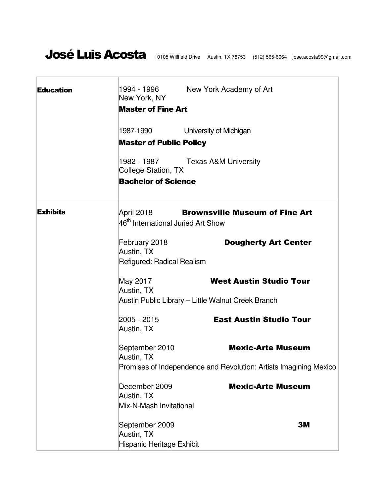|                                                                   | New York, NY<br><b>Master of Fine Art</b>                                                                                                                                                                     |  |  |
|-------------------------------------------------------------------|---------------------------------------------------------------------------------------------------------------------------------------------------------------------------------------------------------------|--|--|
| 1987-1990                                                         | University of Michigan                                                                                                                                                                                        |  |  |
| <b>Master of Public Policy</b>                                    |                                                                                                                                                                                                               |  |  |
| 1982 - 1987                                                       | <b>Texas A&amp;M University</b>                                                                                                                                                                               |  |  |
| <b>Bachelor of Science</b>                                        |                                                                                                                                                                                                               |  |  |
| April 2018                                                        | <b>Brownsville Museum of Fine Art</b>                                                                                                                                                                         |  |  |
| February 2018<br>Austin, TX                                       | <b>Dougherty Art Center</b>                                                                                                                                                                                   |  |  |
| May 2017                                                          | <b>West Austin Studio Tour</b>                                                                                                                                                                                |  |  |
| Austin Public Library – Little Walnut Creek Branch                |                                                                                                                                                                                                               |  |  |
| 2005 - 2015<br>Austin, TX                                         | <b>East Austin Studio Tour</b>                                                                                                                                                                                |  |  |
| Austin, TX                                                        | <b>Mexic-Arte Museum</b>                                                                                                                                                                                      |  |  |
| Promises of Independence and Revolution: Artists Imagining Mexico |                                                                                                                                                                                                               |  |  |
| December 2009<br>Austin, TX                                       | <b>Mexic-Arte Museum</b>                                                                                                                                                                                      |  |  |
|                                                                   |                                                                                                                                                                                                               |  |  |
| Austin, TX                                                        | 3M                                                                                                                                                                                                            |  |  |
|                                                                   | College Station, TX<br>46 <sup>th</sup> International Juried Art Show<br>Refigured: Radical Realism<br>Austin, TX<br>September 2010<br>Mix-N-Mash Invitational<br>September 2009<br>Hispanic Heritage Exhibit |  |  |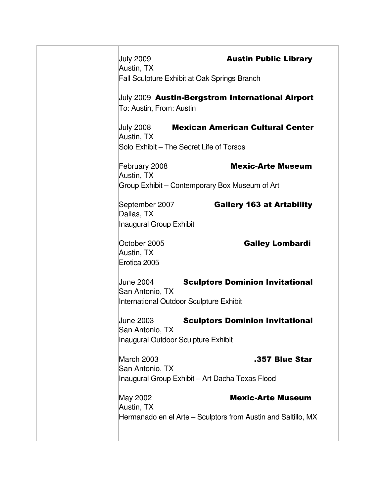| <b>July 2009</b>                                       | <b>Austin Public Library</b>                                  |
|--------------------------------------------------------|---------------------------------------------------------------|
| Austin, TX                                             | <b>Fall Sculpture Exhibit at Oak Springs Branch</b>           |
|                                                        |                                                               |
| To: Austin, From: Austin                               | July 2009 Austin-Bergstrom International Airport              |
|                                                        | <b>July 2008 Mexican American Cultural Center</b>             |
| Austin, TX<br>Solo Exhibit – The Secret Life of Torsos |                                                               |
| February 2008                                          | <b>Mexic-Arte Museum</b>                                      |
| Austin, TX                                             |                                                               |
|                                                        | Group Exhibit - Contemporary Box Museum of Art                |
| September 2007                                         | <b>Gallery 163 at Artability</b>                              |
| Dallas, TX<br><b>Inaugural Group Exhibit</b>           |                                                               |
| October 2005                                           | <b>Galley Lombardi</b>                                        |
| Austin, TX<br>Erotica 2005                             |                                                               |
|                                                        |                                                               |
| <b>June 2004</b><br>San Antonio, TX                    | <b>Sculptors Dominion Invitational</b>                        |
| International Outdoor Sculpture Exhibit                |                                                               |
| <b>June 2003</b>                                       | <b>Sculptors Dominion Invitational</b>                        |
| San Antonio, TX                                        |                                                               |
| Inaugural Outdoor Sculpture Exhibit                    |                                                               |
| March 2003                                             | .357 Blue Star                                                |
| San Antonio, TX                                        | Inaugural Group Exhibit - Art Dacha Texas Flood               |
|                                                        |                                                               |
| May 2002<br>Austin, TX                                 | <b>Mexic-Arte Museum</b>                                      |
|                                                        | Hermanado en el Arte - Sculptors from Austin and Saltillo, MX |